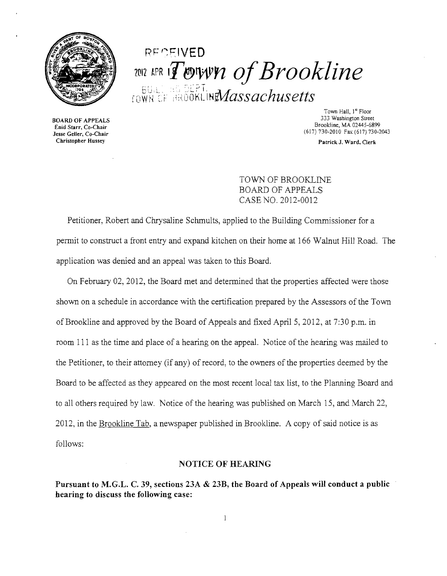

## REGEIVED. 2012 APR IT COTWA *of Brookline*  $R\ln\left(\frac{1}{2} \log \frac{\pi}{2} \right)$  $_{\rm{TOWH}}$ ef Brookline $Massachusetts$  .

**3333 BOARD OF APPEALS**<br>534 Enid Starr, Co-Chair Eind Start, Co-Chair<br>Jesse Geller, Co-Chair (617) 730-2010 Fax (617) 730-2043<br>Christopher Hussey Patrick J. Ward, Clerk

Town Hall, 1<sup>st</sup> Floor<br>333 Washington Street Brookline, MA 02445-6899<br>
Enid Starr, Co-Chair<br>
Jesse Geller, Co-Chair<br>
Chair
(617) 730-2010 Fax (617) 730-2010

Patrick J. Ward, Clerk

TOWN OF BROOKLINE BOARD OF APPEALS CASE NO. 2012-0012

Petitioner, Robert and Chrysaline Schmults, applied to the Building Commissioner for a permit to construct a front entry and expand kitchen on their home at 166 Walnut Hill Road. The application was denied and an appeal was taken to this Board.

On February 02,2012, the Board met and determined that the properties affected were those shown on a schedule in accordance with the certification prepared by the Assessors of the Town of Brookline and approved by the Board of Appeals and fixed April 5, 2012, at 7:30 p.m. in room 111 as the time and place of a hearing on the appeal. Notice of the hearing was mailed to the Petitioner, to their attomey (if any) of record, to the owners of the properties deemed by the Board to be affected as they appeared on the most recent local tax list, to the Planning Board and to all others required by law. Notice of the hearing was published on March 15, and March 22, 2012, in the Brookline Tab, a newspaper published in Brookline. A copy of said notice is as follows:

## NOTICE OF HEARING

Pursuant to M.G.L. C. 39, sections 23A & 23B, the Board of Appeals will conduct a public hearing to discuss the following case: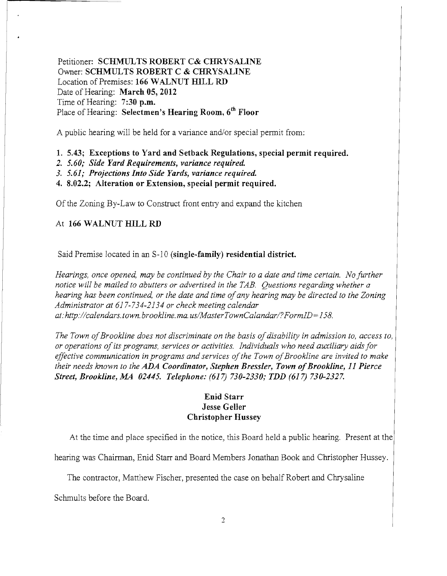Petitioner: **SCHMULTS ROBERT C& CHRYSALINE**  Owner: **SCHMULTS ROBERT C & CHRYSALINE**  Location of Premises: **166 WALNUT HILL RD**  Date of Hearing: **March 05, 2012**  Time of Hearing: **7:30 p.m.**  Place of Hearing: **Selectmen's Hearing Room,** *6th* **Floor** 

A public hearing will be held for a variance and/or special permit from:

**1. 5.43; Exceptions to Yard and Setback Regulations, special permit required.** 

- *2. 5.60; Side Yard Requirements, variance required.*
- **3. 5.61;** *Projections Into Side Yards, variance required.*

**4. 8.02.2; Alteration or Extension, special permit required.** 

Of the Zoning By-Law to Construct front entry and expand the kitchen

## At **166 WALNUT HILL RD**

Said Premise located in an S-l 0 **(single-family) residential district.** 

*Hearings, once opened, may be continued by the Chair to a date and time certain. No further notice 'will be mailed to abutters or advertised in the TAB. Questions regarding whether a hearing has been continued, or the date and time ofany hearing may be directed to the Zoning Administrator at* 617-734-2134 *or check meeting calendar*  at:http://calendars.town.brookline.ma.us/MasterTownCalandar/?FormID=158.

The Town of Brookline does not discriminate on the basis of disability in admission to, access to, *or operations of its programs, services or activities. Individuals who need auxiliary aids for effective communication in programs and services ofthe Town ofBrookline are invited to make their needs known to the ADA Coordinator, Stephen Bressler, Town ofBrookline,* **11** *Pierce Street, Brookline, MA 02445. Telephone:* (617) *730-2330; TDD* (617) *730-2327.* 

## **Enid Starr Jesse Geller Christopher Hussey**

At the time and place specified in the notice, this Board held a public hearing. Present at

hearing was Chairman, Enid Starr and Board Members Jonathan Book and Christopher Hussey.

The contractor, Matthew Fischer, presented the case on behalf Robert and Chrysaline

Schmults before the Board.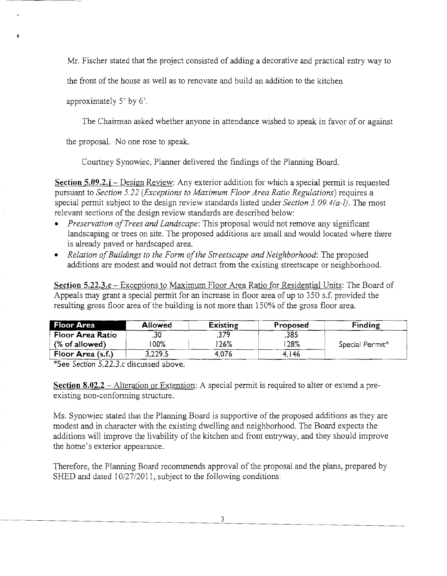Mr. Fischer stated that the project consisted of adding a decorative and practical entry way to

the front of the house as well as to renovate and build an addition to the kitchen

approximately 5' by 6'.

The Chairman asked whether anyone in attendance wished to speak in favor of or against

the proposal. No one rose to speak.

Courtney Synowiec, Planner delivered the findings of the Planning Board.

**Section 5.09.2.j** – Design Review: Any exterior addition for which a special permit is requested pursuant to *Section 5.22 (Exceptions to Maximum Floor Area Ratio Regulations)* requires a special permit subject to the design review standards listed under *Section* 5.09. *4(a-l).* The most relevant sections of the design review standards are described below:

- *Preservation of Trees and Landscape*: This proposal would not remove any significant landscaping or trees on site. The proposed additions are small and would located where there is already paved or hardscaped area.
- Relation of Buildings to the Form of the Streetscape and Neighborhood: The proposed additions are modest and would not detract from the existing streetscape or neighborhood.

**Section 5.22.3.c** - Exceptions to Maximum Floor Area Ratio for Residential Units: The Board of Appeals may grant a special permit for an increase in floor area of up to 350 s.f. provided the resulting gross floor area of the building is not more than 150% of the gross floor area.

| <b>Floor Area</b> | <b>Allowed</b> | Existing | Proposed | Finding         |
|-------------------|----------------|----------|----------|-----------------|
| Floor Area Ratio  | .30            | .379     | .385     |                 |
| $%$ of allowed)   | 100%           | 26%      | 28%      | Special Permit* |
| Floor Area (s.f.) | 3,229.5        | 4.076    | 4.146    |                 |

\*See *Section 5.22.3.c* discussed above.

**Section 8.02.2** - Alteration or Extension: A special permit is required to alter or extend a preexisting non-conforming structure.

Ms. Synowiec stated that the Planning Board is supportive of the proposed additions as they are modest and in character with the existing dwelling and neighborhood. The Board expects the additions will improve the livability of the kitchen and front entryway, and they should improve the home's exterior appearance.

Therefore, the Planning Board recommends approval of the proposal and the plans, prepared by SHED and dated  $10/27/2011$ , subject to the following conditions: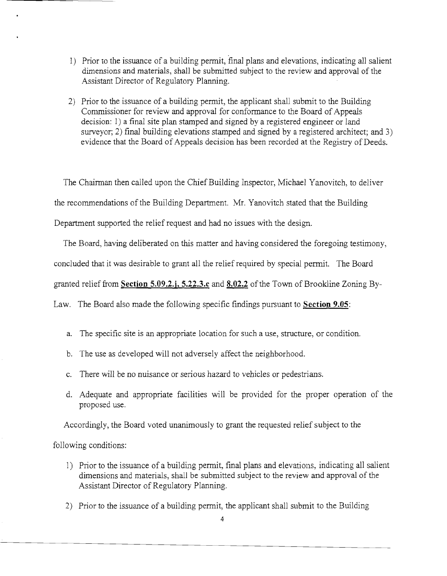- 1) Prior to the issuance of a building permit, final plans and elevations, indicating all salient dimensions and materials, shall be submitted subject to the review and approval of the Assistant Director of Regulatory Planning.
- 2) Prior to the issuance of a building permit, the applicant shall submit to the Building Commissioner for review and approval for conformance to the Board of Appeals decision: 1) a final site plan stamped and signed by a registered engineer or land surveyor; 2) final building elevations stamped and signed by a registered architect; and 3) evidence that the Board of Appeals decision has been recorded at the Registry of Deeds.

The Chairman then called upon the Chief Building Inspector, Michael Yanovitch, to deliver the recommendations of the Building Department. Mr. Yanovitch stated that the Building Department supported the relief request and had no issues with the design.

The Board, having deliberated on this matter and having considered the foregoing testimony,

concluded that it was desirable to grant all the relief required by special permit. The Board

granted relief from **Section 5.09.2.j, 5.22.3.c and 8.02.2** ofthe Town of Brookline Zoning By-

Law. The Board also made the following specific findings pursuant to **Section 9.05:** 

- a. The specific site is an appropriate location for such a use, structure, or condition.
- b. The use as developed will not adversely affect the neighborhood.
- c. There will be no nuisance or serious hazard to vehicles or pedestrians.
- d. Adequate and appropriate facilities will be provided for the proper operation of the proposed use.

Accordingly, the Board voted unanimously to grant the requested relief subject to the

following conditions:

- 1) Prior to the issuance of a building permit, final plans and elevations, indicating all salient dimensions and materials, shall be submitted subject to the review and approval of the Assistant Director of Regulatory Planning.
- 2) Prior to the issuance of a building permit, the applicant shall submit to the Building